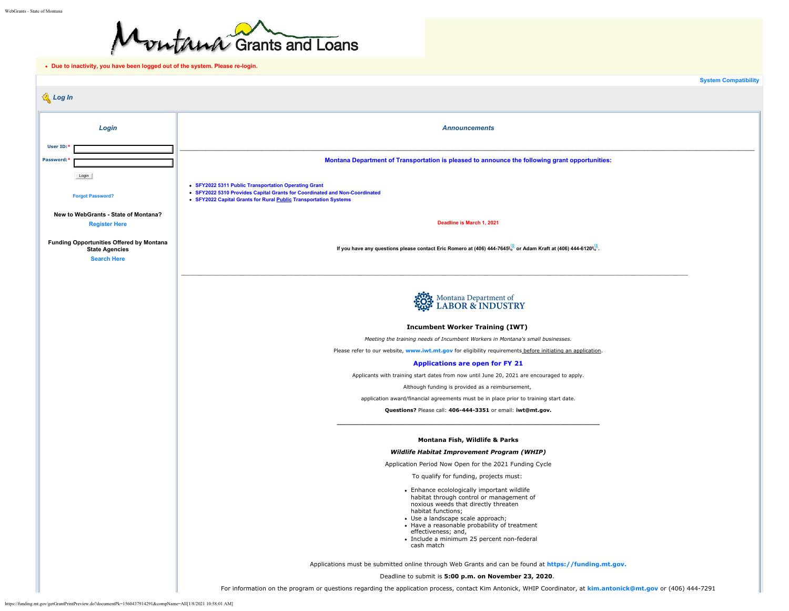

<span id="page-0-0"></span>**Due to inactivity, you have been logged out of the system. Please re-login.**

|                                                                                         |                                                                                                                                                                                                                                                                                                                               | <b>System Compatibility</b> |
|-----------------------------------------------------------------------------------------|-------------------------------------------------------------------------------------------------------------------------------------------------------------------------------------------------------------------------------------------------------------------------------------------------------------------------------|-----------------------------|
| Log In                                                                                  |                                                                                                                                                                                                                                                                                                                               |                             |
| Login                                                                                   | <b>Announcements</b>                                                                                                                                                                                                                                                                                                          |                             |
|                                                                                         |                                                                                                                                                                                                                                                                                                                               |                             |
| User ID:<br>Password:                                                                   |                                                                                                                                                                                                                                                                                                                               |                             |
|                                                                                         | Montana Department of Transportation is pleased to announce the following grant opportunities:                                                                                                                                                                                                                                |                             |
| Login                                                                                   |                                                                                                                                                                                                                                                                                                                               |                             |
| <b>Forgot Password?</b>                                                                 | • SFY2022 5311 Public Transportation Operating Grant<br>• SFY2022 5310 Provides Capital Grants for Coordinated and Non-Coordinated<br>• SFY2022 Capital Grants for Rural Public Transportation Systems                                                                                                                        |                             |
| New to WebGrants - State of Montana?                                                    |                                                                                                                                                                                                                                                                                                                               |                             |
| <b>Register Here</b>                                                                    | Deadline is March 1, 2021                                                                                                                                                                                                                                                                                                     |                             |
| Funding Opportunities Offered by Montana<br><b>State Agencies</b><br><b>Search Here</b> | If you have any questions please contact Eric Romero at (406) 444-7645 or Adam Kraft at (406) 444-6120                                                                                                                                                                                                                        |                             |
|                                                                                         |                                                                                                                                                                                                                                                                                                                               |                             |
|                                                                                         | End: Montana Department of                                                                                                                                                                                                                                                                                                    |                             |
|                                                                                         |                                                                                                                                                                                                                                                                                                                               |                             |
|                                                                                         | <b>Incumbent Worker Training (IWT)</b>                                                                                                                                                                                                                                                                                        |                             |
|                                                                                         | Meeting the training needs of Incumbent Workers in Montana's small businesses.<br>Please refer to our website, www.iwt.mt.gov for eligibility requirements before initiating an application.                                                                                                                                  |                             |
|                                                                                         | <b>Applications are open for FY 21</b>                                                                                                                                                                                                                                                                                        |                             |
|                                                                                         | Applicants with training start dates from now until June 20, 2021 are encouraged to apply.                                                                                                                                                                                                                                    |                             |
|                                                                                         | Although funding is provided as a reimbursement,                                                                                                                                                                                                                                                                              |                             |
|                                                                                         | application award/financial agreements must be in place prior to training start date.                                                                                                                                                                                                                                         |                             |
|                                                                                         | Questions? Please call: 406-444-3351 or email: iwt@mt.gov.                                                                                                                                                                                                                                                                    |                             |
|                                                                                         | Montana Fish, Wildlife & Parks                                                                                                                                                                                                                                                                                                |                             |
|                                                                                         | Wildlife Habitat Improvement Program (WHIP)                                                                                                                                                                                                                                                                                   |                             |
|                                                                                         | Application Period Now Open for the 2021 Funding Cycle                                                                                                                                                                                                                                                                        |                             |
|                                                                                         | To qualify for funding, projects must:                                                                                                                                                                                                                                                                                        |                             |
|                                                                                         | • Enhance ecolologically important wildlife<br>habitat through control or management of<br>noxious weeds that directly threaten<br>habitat functions;<br>• Use a landscape scale approach;<br>• Have a reasonable probability of treatment<br>effectiveness; and,<br>· Include a minimum 25 percent non-federal<br>cash match |                             |
|                                                                                         | Applications must be submitted online through Web Grants and can be found at https://funding.mt.gov.                                                                                                                                                                                                                          |                             |
|                                                                                         | Deadline to submit is 5:00 p.m. on November 23, 2020.                                                                                                                                                                                                                                                                         |                             |
|                                                                                         | For information on the program or questions regarding the application process, contact Kim Antonick, WHIP Coordinator, at kim.antonick@mt.gov or (406) 444-7291                                                                                                                                                               |                             |